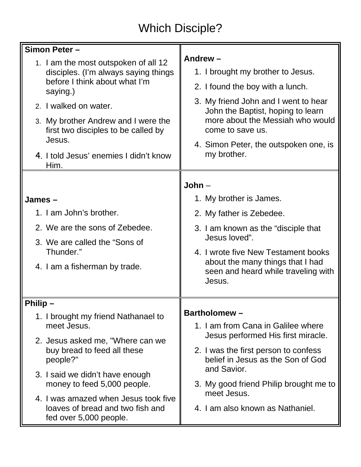## Which Disciple?

| Simon Peter -                                                                                                                                                                                                                                                                                |                                                                                                                                                                                                                                                                               |
|----------------------------------------------------------------------------------------------------------------------------------------------------------------------------------------------------------------------------------------------------------------------------------------------|-------------------------------------------------------------------------------------------------------------------------------------------------------------------------------------------------------------------------------------------------------------------------------|
| 1. I am the most outspoken of all 12<br>disciples. (I'm always saying things<br>before I think about what I'm<br>saying.)<br>2. I walked on water.<br>3. My brother Andrew and I were the<br>first two disciples to be called by<br>Jesus.<br>4. I told Jesus' enemies I didn't know<br>Him. | Andrew-<br>1. I brought my brother to Jesus.<br>2. I found the boy with a lunch.<br>3. My friend John and I went to hear<br>John the Baptist, hoping to learn<br>more about the Messiah who would<br>come to save us.<br>4. Simon Peter, the outspoken one, is<br>my brother. |
|                                                                                                                                                                                                                                                                                              | $John -$                                                                                                                                                                                                                                                                      |
| James $-$                                                                                                                                                                                                                                                                                    | 1. My brother is James.                                                                                                                                                                                                                                                       |
| 1. I am John's brother.                                                                                                                                                                                                                                                                      | 2. My father is Zebedee.                                                                                                                                                                                                                                                      |
| 2. We are the sons of Zebedee.                                                                                                                                                                                                                                                               | 3. I am known as the "disciple that                                                                                                                                                                                                                                           |
| 3. We are called the "Sons of                                                                                                                                                                                                                                                                | Jesus loved".                                                                                                                                                                                                                                                                 |
| Thunder."<br>4. I am a fisherman by trade.                                                                                                                                                                                                                                                   | 4. I wrote five New Testament books<br>about the many things that I had<br>seen and heard while traveling with<br>Jesus.                                                                                                                                                      |
| Philip $-$                                                                                                                                                                                                                                                                                   |                                                                                                                                                                                                                                                                               |
| 1. I brought my friend Nathanael to                                                                                                                                                                                                                                                          | <b>Bartholomew-</b>                                                                                                                                                                                                                                                           |
| meet Jesus.                                                                                                                                                                                                                                                                                  | 1. I am from Cana in Galilee where<br>Jesus performed His first miracle.                                                                                                                                                                                                      |
| 2. Jesus asked me, "Where can we<br>buy bread to feed all these<br>people?"                                                                                                                                                                                                                  | 2. I was the first person to confess<br>belief in Jesus as the Son of God                                                                                                                                                                                                     |
| 3. I said we didn't have enough<br>money to feed 5,000 people.                                                                                                                                                                                                                               | and Savior.<br>3. My good friend Philip brought me to                                                                                                                                                                                                                         |
| 4. I was amazed when Jesus took five<br>loaves of bread and two fish and<br>fed over 5,000 people.                                                                                                                                                                                           | meet Jesus.<br>4. I am also known as Nathaniel.                                                                                                                                                                                                                               |